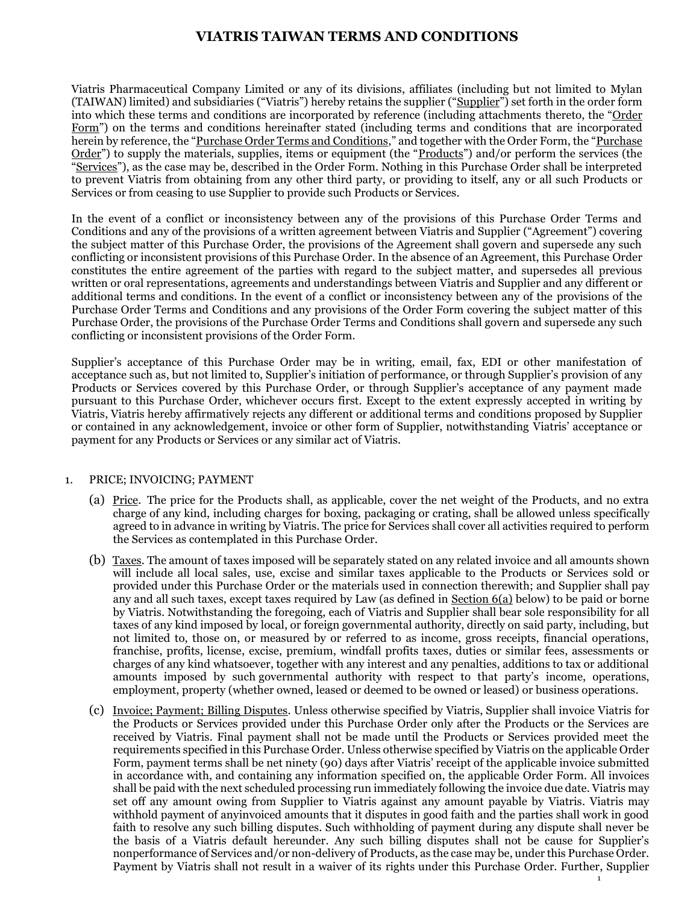# **VIATRIS TAIWAN TERMS AND CONDITIONS**

Viatris Pharmaceutical Company Limited or any of its divisions, affiliates (including but not limited to Mylan (TAIWAN) limited) and subsidiaries ("Viatris") hereby retains the supplier ("Supplier") set forth in the order form into which these terms and conditions are incorporated by reference (including attachments thereto, the "Order Form") on the terms and conditions hereinafter stated (including terms and conditions that are incorporated herein by reference, the "Purchase Order Terms and Conditions," and together with the Order Form, the "Purchase Order") to supply the materials, supplies, items or equipment (the "Products") and/or perform the services (the "Services"), as the case may be, described in the Order Form. Nothing in this Purchase Order shall be interpreted to prevent Viatris from obtaining from any other third party, or providing to itself, any or all such Products or Services or from ceasing to use Supplier to provide such Products or Services.

In the event of a conflict or inconsistency between any of the provisions of this Purchase Order Terms and Conditions and any of the provisions of a written agreement between Viatris and Supplier ("Agreement") covering the subject matter of this Purchase Order, the provisions of the Agreement shall govern and supersede any such conflicting or inconsistent provisions of this Purchase Order. In the absence of an Agreement, this Purchase Order constitutes the entire agreement of the parties with regard to the subject matter, and supersedes all previous written or oral representations, agreements and understandings between Viatris and Supplier and any different or additional terms and conditions. In the event of a conflict or inconsistency between any of the provisions of the Purchase Order Terms and Conditions and any provisions of the Order Form covering the subject matter of this Purchase Order, the provisions of the Purchase Order Terms and Conditions shall govern and supersede any such conflicting or inconsistent provisions of the Order Form.

Supplier's acceptance of this Purchase Order may be in writing, email, fax, EDI or other manifestation of acceptance such as, but not limited to, Supplier's initiation of performance, or through Supplier's provision of any Products or Services covered by this Purchase Order, or through Supplier's acceptance of any payment made pursuant to this Purchase Order, whichever occurs first. Except to the extent expressly accepted in writing by Viatris, Viatris hereby affirmatively rejects any different or additional terms and conditions proposed by Supplier or contained in any acknowledgement, invoice or other form of Supplier, notwithstanding Viatris' acceptance or payment for any Products or Services or any similar act of Viatris.

### 1. PRICE; INVOICING; PAYMENT

- (a) Price. The price for the Products shall, as applicable, cover the net weight of the Products, and no extra charge of any kind, including charges for boxing, packaging or crating, shall be allowed unless specifically agreed to in advance in writing by Viatris. The price for Services shall cover all activities required to perform the Services as contemplated in this Purchase Order.
- (b) Taxes. The amount of taxes imposed will be separately stated on any related invoice and all amounts shown will include all local sales, use, excise and similar taxes applicable to the Products or Services sold or provided under this Purchase Order or the materials used in connection therewith; and Supplier shall pay any and all such taxes, except taxes required by Law (as defined in Section 6(a) below) to be paid or borne by Viatris. Notwithstanding the foregoing, each of Viatris and Supplier shall bear sole responsibility for all taxes of any kind imposed by local, or foreign governmental authority, directly on said party, including, but not limited to, those on, or measured by or referred to as income, gross receipts, financial operations, franchise, profits, license, excise, premium, windfall profits taxes, duties or similar fees, assessments or charges of any kind whatsoever, together with any interest and any penalties, additions to tax or additional amounts imposed by such governmental authority with respect to that party's income, operations, employment, property (whether owned, leased or deemed to be owned or leased) or business operations.
- (c) Invoice; Payment; Billing Disputes. Unless otherwise specified by Viatris, Supplier shall invoice Viatris for the Products or Services provided under this Purchase Order only after the Products or the Services are received by Viatris. Final payment shall not be made until the Products or Services provided meet the requirements specified in this Purchase Order. Unless otherwise specified by Viatris on the applicable Order Form, payment terms shall be net ninety (90) days after Viatris' receipt of the applicable invoice submitted in accordance with, and containing any information specified on, the applicable Order Form. All invoices shall be paid with the next scheduled processing run immediately following the invoice due date. Viatris may set off any amount owing from Supplier to Viatris against any amount payable by Viatris. Viatris may withhold payment of anyinvoiced amounts that it disputes in good faith and the parties shall work in good faith to resolve any such billing disputes. Such withholding of payment during any dispute shall never be the basis of a Viatris default hereunder. Any such billing disputes shall not be cause for Supplier's nonperformance of Services and/or non-delivery of Products, as the case may be, under this Purchase Order. Payment by Viatris shall not result in a waiver of its rights under this Purchase Order. Further, Supplier

1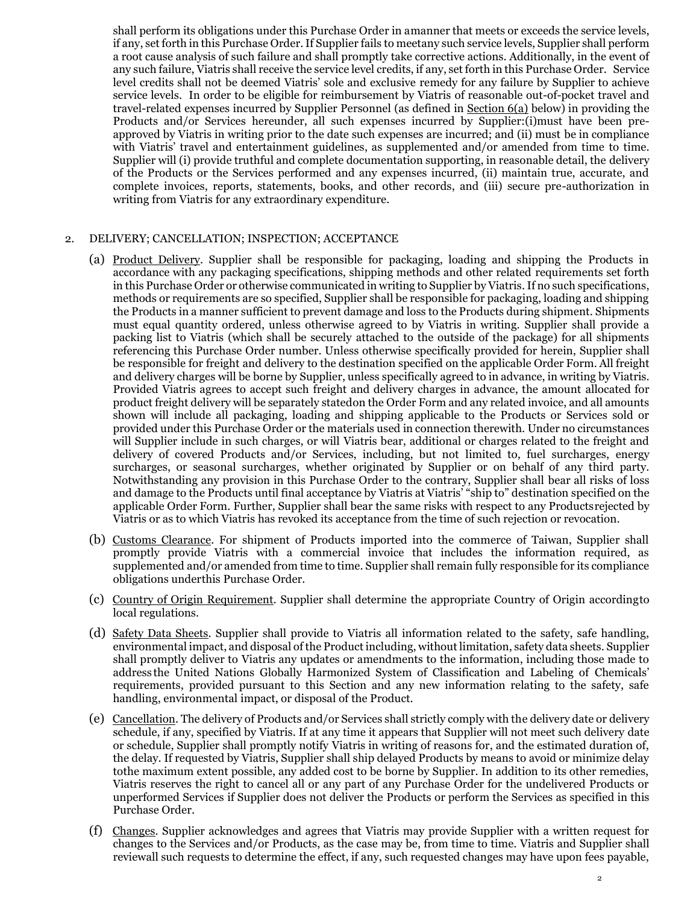shall perform its obligations under this Purchase Order in amanner that meets or exceeds the service levels, if any, set forth in this Purchase Order. If Supplier fails to meetany such service levels, Supplier shall perform a root cause analysis of such failure and shall promptly take corrective actions. Additionally, in the event of any such failure, Viatris shall receive the service level credits, if any, set forth in this Purchase Order. Service level credits shall not be deemed Viatris' sole and exclusive remedy for any failure by Supplier to achieve service levels. In order to be eligible for reimbursement by Viatris of reasonable out-of-pocket travel and travel-related expenses incurred by Supplier Personnel (as defined in Section 6(a) below) in providing the Products and/or Services hereunder, all such expenses incurred by Supplier:(i)must have been preapproved by Viatris in writing prior to the date such expenses are incurred; and (ii) must be in compliance with Viatris' travel and entertainment guidelines, as supplemented and/or amended from time to time. Supplier will (i) provide truthful and complete documentation supporting, in reasonable detail, the delivery of the Products or the Services performed and any expenses incurred, (ii) maintain true, accurate, and complete invoices, reports, statements, books, and other records, and (iii) secure pre-authorization in writing from Viatris for any extraordinary expenditure.

### 2. DELIVERY; CANCELLATION; INSPECTION; ACCEPTANCE

- (a) Product Delivery. Supplier shall be responsible for packaging, loading and shipping the Products in accordance with any packaging specifications, shipping methods and other related requirements set forth in this Purchase Order or otherwise communicated in writing to Supplier by Viatris. If no such specifications, methods or requirements are so specified, Supplier shall be responsible for packaging, loading and shipping the Products in a manner sufficient to prevent damage and loss to the Products during shipment. Shipments must equal quantity ordered, unless otherwise agreed to by Viatris in writing. Supplier shall provide a packing list to Viatris (which shall be securely attached to the outside of the package) for all shipments referencing this Purchase Order number. Unless otherwise specifically provided for herein, Supplier shall be responsible for freight and delivery to the destination specified on the applicable Order Form. All freight and delivery charges will be borne by Supplier, unless specifically agreed to in advance, in writing by Viatris. Provided Viatris agrees to accept such freight and delivery charges in advance, the amount allocated for product freight delivery will be separately statedon the Order Form and any related invoice, and all amounts shown will include all packaging, loading and shipping applicable to the Products or Services sold or provided under this Purchase Order or the materials used in connection therewith. Under no circumstances will Supplier include in such charges, or will Viatris bear, additional or charges related to the freight and delivery of covered Products and/or Services, including, but not limited to, fuel surcharges, energy surcharges, or seasonal surcharges, whether originated by Supplier or on behalf of any third party. Notwithstanding any provision in this Purchase Order to the contrary, Supplier shall bear all risks of loss and damage to the Products until final acceptance by Viatris at Viatris' "ship to" destination specified on the applicable Order Form. Further, Supplier shall bear the same risks with respect to any Productsrejected by Viatris or as to which Viatris has revoked its acceptance from the time of such rejection or revocation.
- (b) Customs Clearance. For shipment of Products imported into the commerce of Taiwan, Supplier shall promptly provide Viatris with a commercial invoice that includes the information required, as supplemented and/or amended from time to time. Supplier shall remain fully responsible for its compliance obligations underthis Purchase Order.
- (c) Country of Origin Requirement. Supplier shall determine the appropriate Country of Origin accordingto local regulations.
- (d) Safety Data Sheets. Supplier shall provide to Viatris all information related to the safety, safe handling, environmental impact, and disposal of the Product including, without limitation, safety data sheets. Supplier shall promptly deliver to Viatris any updates or amendments to the information, including those made to address the United Nations Globally Harmonized System of Classification and Labeling of Chemicals' requirements, provided pursuant to this Section and any new information relating to the safety, safe handling, environmental impact, or disposal of the Product.
- (e) Cancellation. The delivery of Products and/or Services shall strictly comply with the delivery date or delivery schedule, if any, specified by Viatris. If at any time it appears that Supplier will not meet such delivery date or schedule, Supplier shall promptly notify Viatris in writing of reasons for, and the estimated duration of, the delay. If requested by Viatris, Supplier shall ship delayed Products by means to avoid or minimize delay tothe maximum extent possible, any added cost to be borne by Supplier. In addition to its other remedies, Viatris reserves the right to cancel all or any part of any Purchase Order for the undelivered Products or unperformed Services if Supplier does not deliver the Products or perform the Services as specified in this Purchase Order.
- (f) Changes. Supplier acknowledges and agrees that Viatris may provide Supplier with a written request for changes to the Services and/or Products, as the case may be, from time to time. Viatris and Supplier shall reviewall such requests to determine the effect, if any, such requested changes may have upon fees payable,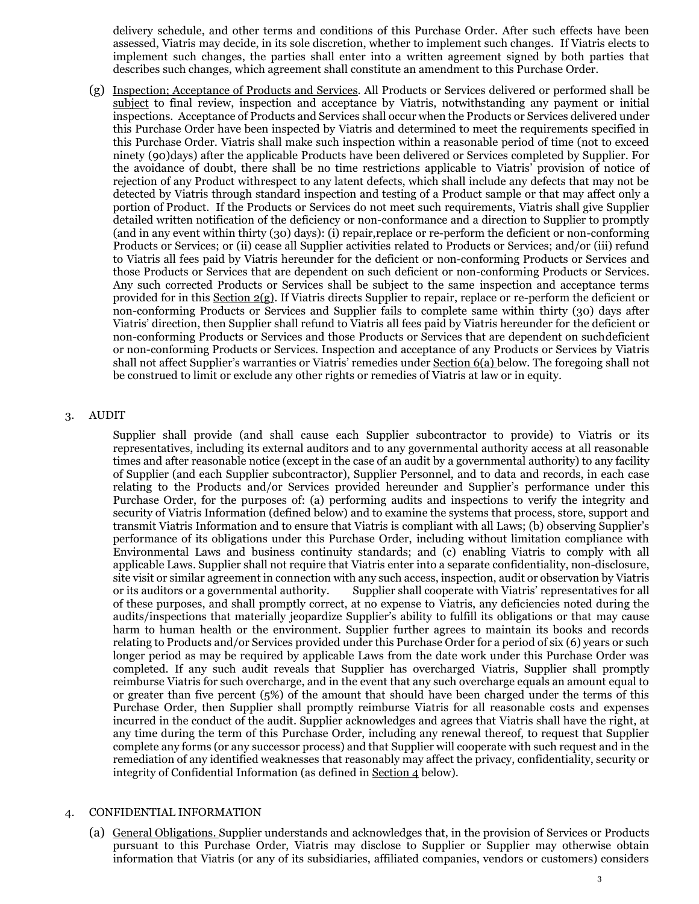delivery schedule, and other terms and conditions of this Purchase Order. After such effects have been assessed, Viatris may decide, in its sole discretion, whether to implement such changes. If Viatris elects to implement such changes, the parties shall enter into a written agreement signed by both parties that describes such changes, which agreement shall constitute an amendment to this Purchase Order.

(g) Inspection; Acceptance of Products and Services. All Products or Services delivered or performed shall be subject to final review, inspection and acceptance by Viatris, notwithstanding any payment or initial inspections. Acceptance of Products and Services shall occur when the Products or Services delivered under this Purchase Order have been inspected by Viatris and determined to meet the requirements specified in this Purchase Order. Viatris shall make such inspection within a reasonable period of time (not to exceed ninety (90)days) after the applicable Products have been delivered or Services completed by Supplier. For the avoidance of doubt, there shall be no time restrictions applicable to Viatris' provision of notice of rejection of any Product withrespect to any latent defects, which shall include any defects that may not be detected by Viatris through standard inspection and testing of a Product sample or that may affect only a portion of Product. If the Products or Services do not meet such requirements, Viatris shall give Supplier detailed written notification of the deficiency or non-conformance and a direction to Supplier to promptly (and in any event within thirty (30) days): (i) repair,replace or re-perform the deficient or non-conforming Products or Services; or (ii) cease all Supplier activities related to Products or Services; and/or (iii) refund to Viatris all fees paid by Viatris hereunder for the deficient or non-conforming Products or Services and those Products or Services that are dependent on such deficient or non-conforming Products or Services. Any such corrected Products or Services shall be subject to the same inspection and acceptance terms provided for in this Section 2(g). If Viatris directs Supplier to repair, replace or re-perform the deficient or non-conforming Products or Services and Supplier fails to complete same within thirty (30) days after Viatris' direction, then Supplier shall refund to Viatris all fees paid by Viatris hereunder for the deficient or non-conforming Products or Services and those Products or Services that are dependent on suchdeficient or non-conforming Products or Services. Inspection and acceptance of any Products or Services by Viatris shall not affect Supplier's warranties or Viatris' remedies under Section 6(a) below. The foregoing shall not be construed to limit or exclude any other rights or remedies of Viatris at law or in equity.

### 3. AUDIT

Supplier shall provide (and shall cause each Supplier subcontractor to provide) to Viatris or its representatives, including its external auditors and to any governmental authority access at all reasonable times and after reasonable notice (except in the case of an audit by a governmental authority) to any facility of Supplier (and each Supplier subcontractor), Supplier Personnel, and to data and records, in each case relating to the Products and/or Services provided hereunder and Supplier's performance under this Purchase Order, for the purposes of: (a) performing audits and inspections to verify the integrity and security of Viatris Information (defined below) and to examine the systems that process, store, support and transmit Viatris Information and to ensure that Viatris is compliant with all Laws; (b) observing Supplier's performance of its obligations under this Purchase Order, including without limitation compliance with Environmental Laws and business continuity standards; and (c) enabling Viatris to comply with all applicable Laws. Supplier shall not require that Viatris enter into a separate confidentiality, non-disclosure, site visit or similar agreement in connection with any such access, inspection, audit or observation by Viatris<br>or its auditors or a governmental authority. Supplier shall cooperate with Viatris' representatives for all Supplier shall cooperate with Viatris' representatives for all of these purposes, and shall promptly correct, at no expense to Viatris, any deficiencies noted during the audits/inspections that materially jeopardize Supplier's ability to fulfill its obligations or that may cause harm to human health or the environment. Supplier further agrees to maintain its books and records relating to Products and/or Services provided under this Purchase Order for a period of six (6) years or such longer period as may be required by applicable Laws from the date work under this Purchase Order was completed. If any such audit reveals that Supplier has overcharged Viatris, Supplier shall promptly reimburse Viatris for such overcharge, and in the event that any such overcharge equals an amount equal to or greater than five percent (5%) of the amount that should have been charged under the terms of this Purchase Order, then Supplier shall promptly reimburse Viatris for all reasonable costs and expenses incurred in the conduct of the audit. Supplier acknowledges and agrees that Viatris shall have the right, at any time during the term of this Purchase Order, including any renewal thereof, to request that Supplier complete any forms (or any successor process) and that Supplier will cooperate with such request and in the remediation of any identified weaknesses that reasonably may affect the privacy, confidentiality, security or integrity of Confidential Information (as defined in Section 4 below).

### 4. CONFIDENTIAL INFORMATION

(a) General Obligations. Supplier understands and acknowledges that, in the provision of Services or Products pursuant to this Purchase Order, Viatris may disclose to Supplier or Supplier may otherwise obtain information that Viatris (or any of its subsidiaries, affiliated companies, vendors or customers) considers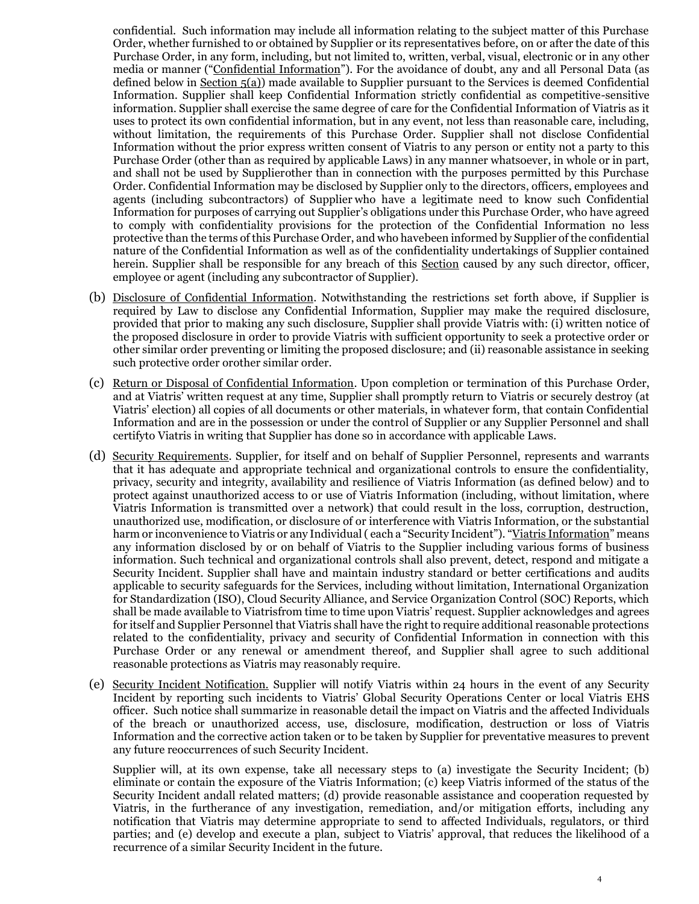confidential. Such information may include all information relating to the subject matter of this Purchase Order, whether furnished to or obtained by Supplier or its representatives before, on or after the date of this Purchase Order, in any form, including, but not limited to, written, verbal, visual, electronic or in any other media or manner ("Confidential Information"). For the avoidance of doubt, any and all Personal Data (as defined below in Section 5(a)) made available to Supplier pursuant to the Services is deemed Confidential Information. Supplier shall keep Confidential Information strictly confidential as competitive-sensitive information. Supplier shall exercise the same degree of care for the Confidential Information of Viatris as it uses to protect its own confidential information, but in any event, not less than reasonable care, including, without limitation, the requirements of this Purchase Order. Supplier shall not disclose Confidential Information without the prior express written consent of Viatris to any person or entity not a party to this Purchase Order (other than as required by applicable Laws) in any manner whatsoever, in whole or in part, and shall not be used by Supplierother than in connection with the purposes permitted by this Purchase Order. Confidential Information may be disclosed by Supplier only to the directors, officers, employees and agents (including subcontractors) of Supplier who have a legitimate need to know such Confidential Information for purposes of carrying out Supplier's obligations under this Purchase Order, who have agreed to comply with confidentiality provisions for the protection of the Confidential Information no less protective than the terms of this Purchase Order, and who havebeen informed by Supplier of the confidential nature of the Confidential Information as well as of the confidentiality undertakings of Supplier contained herein. Supplier shall be responsible for any breach of this **Section** caused by any such director, officer, employee or agent (including any subcontractor of Supplier).

- (b) Disclosure of Confidential Information. Notwithstanding the restrictions set forth above, if Supplier is required by Law to disclose any Confidential Information, Supplier may make the required disclosure, provided that prior to making any such disclosure, Supplier shall provide Viatris with: (i) written notice of the proposed disclosure in order to provide Viatris with sufficient opportunity to seek a protective order or other similar order preventing or limiting the proposed disclosure; and (ii) reasonable assistance in seeking such protective order orother similar order.
- (c) Return or Disposal of Confidential Information. Upon completion or termination of this Purchase Order, and at Viatris' written request at any time, Supplier shall promptly return to Viatris or securely destroy (at Viatris' election) all copies of all documents or other materials, in whatever form, that contain Confidential Information and are in the possession or under the control of Supplier or any Supplier Personnel and shall certifyto Viatris in writing that Supplier has done so in accordance with applicable Laws.
- (d) Security Requirements. Supplier, for itself and on behalf of Supplier Personnel, represents and warrants that it has adequate and appropriate technical and organizational controls to ensure the confidentiality, privacy, security and integrity, availability and resilience of Viatris Information (as defined below) and to protect against unauthorized access to or use of Viatris Information (including, without limitation, where Viatris Information is transmitted over a network) that could result in the loss, corruption, destruction, unauthorized use, modification, or disclosure of or interference with Viatris Information, or the substantial harm or inconvenience to Viatris or any Individual (each a "Security Incident"). "Viatris Information" means any information disclosed by or on behalf of Viatris to the Supplier including various forms of business information. Such technical and organizational controls shall also prevent, detect, respond and mitigate a Security Incident. Supplier shall have and maintain industry standard or better certifications and audits applicable to security safeguards for the Services, including without limitation, International Organization for Standardization (ISO), Cloud Security Alliance, and Service Organization Control (SOC) Reports, which shall be made available to Viatrisfrom time to time upon Viatris' request. Supplier acknowledges and agrees for itself and Supplier Personnel that Viatris shall have the right to require additional reasonable protections related to the confidentiality, privacy and security of Confidential Information in connection with this Purchase Order or any renewal or amendment thereof, and Supplier shall agree to such additional reasonable protections as Viatris may reasonably require.
- (e) Security Incident Notification. Supplier will notify Viatris within 24 hours in the event of any Security Incident by reporting such incidents to Viatris' Global Security Operations Center or local Viatris EHS officer. Such notice shall summarize in reasonable detail the impact on Viatris and the affected Individuals of the breach or unauthorized access, use, disclosure, modification, destruction or loss of Viatris Information and the corrective action taken or to be taken by Supplier for preventative measures to prevent any future reoccurrences of such Security Incident.

Supplier will, at its own expense, take all necessary steps to (a) investigate the Security Incident; (b) eliminate or contain the exposure of the Viatris Information; (c) keep Viatris informed of the status of the Security Incident andall related matters; (d) provide reasonable assistance and cooperation requested by Viatris, in the furtherance of any investigation, remediation, and/or mitigation efforts, including any notification that Viatris may determine appropriate to send to affected Individuals, regulators, or third parties; and (e) develop and execute a plan, subject to Viatris' approval, that reduces the likelihood of a recurrence of a similar Security Incident in the future.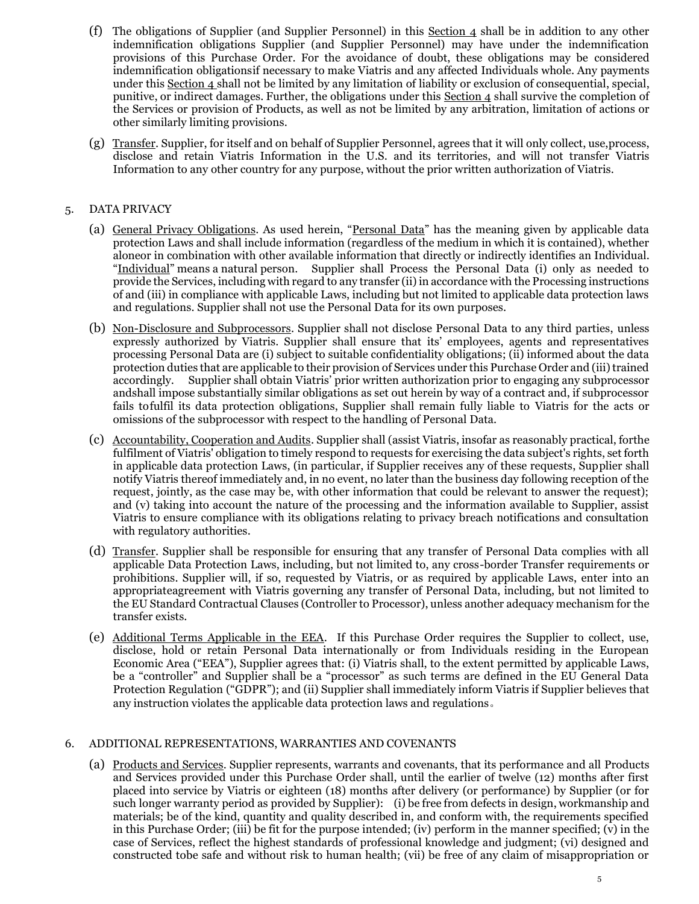- (f) The obligations of Supplier (and Supplier Personnel) in this Section  $\overline{4}$  shall be in addition to any other indemnification obligations Supplier (and Supplier Personnel) may have under the indemnification provisions of this Purchase Order. For the avoidance of doubt, these obligations may be considered indemnification obligationsif necessary to make Viatris and any affected Individuals whole. Any payments under this Section 4 shall not be limited by any limitation of liability or exclusion of consequential, special, punitive, or indirect damages. Further, the obligations under this Section 4 shall survive the completion of the Services or provision of Products, as well as not be limited by any arbitration, limitation of actions or other similarly limiting provisions.
- (g) Transfer. Supplier, for itself and on behalf of Supplier Personnel, agrees that it will only collect, use,process, disclose and retain Viatris Information in the U.S. and its territories, and will not transfer Viatris Information to any other country for any purpose, without the prior written authorization of Viatris.

## 5. DATA PRIVACY

- (a) General Privacy Obligations. As used herein, "Personal Data" has the meaning given by applicable data protection Laws and shall include information (regardless of the medium in which it is contained), whether aloneor in combination with other available information that directly or indirectly identifies an Individual. "Individual" means a natural person. Supplier shall Process the Personal Data (i) only as needed to provide the Services, including with regard to any transfer (ii) in accordance with the Processing instructions of and (iii) in compliance with applicable Laws, including but not limited to applicable data protection laws and regulations. Supplier shall not use the Personal Data for its own purposes.
- (b) Non-Disclosure and Subprocessors. Supplier shall not disclose Personal Data to any third parties, unless expressly authorized by Viatris. Supplier shall ensure that its' employees, agents and representatives processing Personal Data are (i) subject to suitable confidentiality obligations; (ii) informed about the data protection duties that are applicable to their provision of Services under this Purchase Order and (iii) trained accordingly. Supplier shall obtain Viatris' prior written authorization prior to engaging any subprocessor andshall impose substantially similar obligations as set out herein by way of a contract and, if subprocessor fails tofulfil its data protection obligations, Supplier shall remain fully liable to Viatris for the acts or omissions of the subprocessor with respect to the handling of Personal Data.
- (c) Accountability, Cooperation and Audits. Supplier shall (assist Viatris, insofar as reasonably practical, forthe fulfilment of Viatris' obligation to timely respond to requests for exercising the data subject's rights, set forth in applicable data protection Laws, (in particular, if Supplier receives any of these requests, Supplier shall notify Viatris thereof immediately and, in no event, no later than the business day following reception of the request, jointly, as the case may be, with other information that could be relevant to answer the request); and (v) taking into account the nature of the processing and the information available to Supplier, assist Viatris to ensure compliance with its obligations relating to privacy breach notifications and consultation with regulatory authorities.
- (d) Transfer. Supplier shall be responsible for ensuring that any transfer of Personal Data complies with all applicable Data Protection Laws, including, but not limited to, any cross-border Transfer requirements or prohibitions. Supplier will, if so, requested by Viatris, or as required by applicable Laws, enter into an appropriateagreement with Viatris governing any transfer of Personal Data, including, but not limited to the EU Standard Contractual Clauses (Controller to Processor), unless another adequacy mechanism for the transfer exists.
- (e) Additional Terms Applicable in the EEA. If this Purchase Order requires the Supplier to collect, use, disclose, hold or retain Personal Data internationally or from Individuals residing in the European Economic Area ("EEA"), Supplier agrees that: (i) Viatris shall, to the extent permitted by applicable Laws, be a "controller" and Supplier shall be a "processor" as such terms are defined in the EU General Data Protection Regulation ("GDPR"); and (ii) Supplier shall immediately inform Viatris if Supplier believes that any instruction violates the applicable data protection laws and regulations。

## 6. ADDITIONAL REPRESENTATIONS, WARRANTIES AND COVENANTS

(a) Products and Services. Supplier represents, warrants and covenants, that its performance and all Products and Services provided under this Purchase Order shall, until the earlier of twelve (12) months after first placed into service by Viatris or eighteen (18) months after delivery (or performance) by Supplier (or for such longer warranty period as provided by Supplier): (i) be free from defects in design, workmanship and materials; be of the kind, quantity and quality described in, and conform with, the requirements specified in this Purchase Order; (iii) be fit for the purpose intended; (iv) perform in the manner specified; (v) in the case of Services, reflect the highest standards of professional knowledge and judgment; (vi) designed and constructed tobe safe and without risk to human health; (vii) be free of any claim of misappropriation or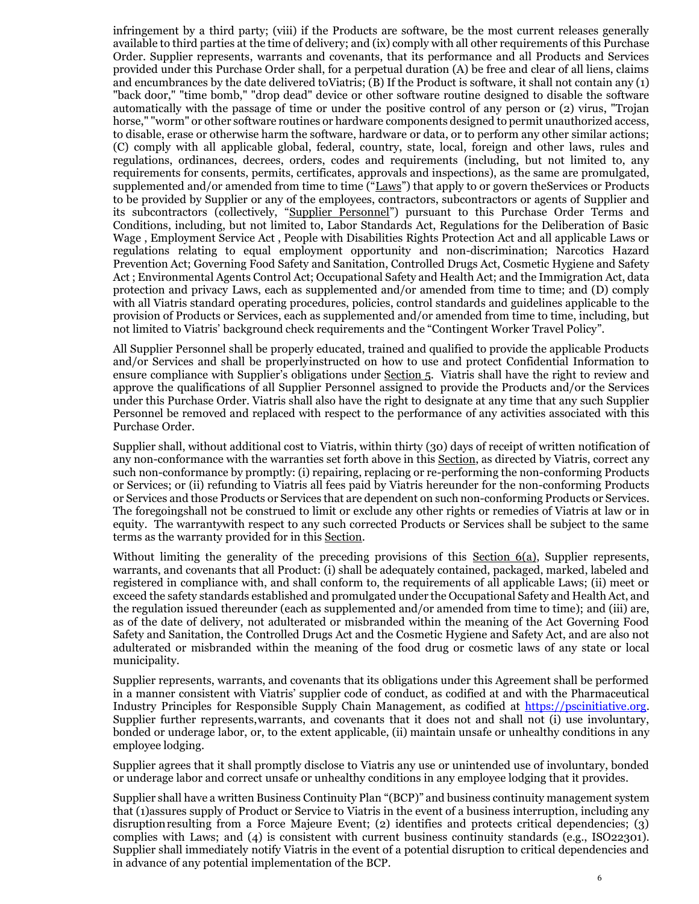infringement by a third party; (viii) if the Products are software, be the most current releases generally available to third parties at the time of delivery; and (ix) comply with all other requirements of this Purchase Order. Supplier represents, warrants and covenants, that its performance and all Products and Services provided under this Purchase Order shall, for a perpetual duration (A) be free and clear of all liens, claims and encumbrances by the date delivered toViatris; (B) If the Product is software, it shall not contain any (1) "back door," "time bomb," "drop dead" device or other software routine designed to disable the software automatically with the passage of time or under the positive control of any person or (2) virus, "Trojan horse," "worm" or other software routines or hardware components designed to permit unauthorized access, to disable, erase or otherwise harm the software, hardware or data, or to perform any other similar actions; (C) comply with all applicable global, federal, country, state, local, foreign and other laws, rules and regulations, ordinances, decrees, orders, codes and requirements (including, but not limited to, any requirements for consents, permits, certificates, approvals and inspections), as the same are promulgated, supplemented and/or amended from time to time ("Laws") that apply to or govern theServices or Products to be provided by Supplier or any of the employees, contractors, subcontractors or agents of Supplier and its subcontractors (collectively, "Supplier Personnel") pursuant to this Purchase Order Terms and Conditions, including, but not limited to, Labor Standards Act, Regulations for the Deliberation of Basic Wage , Employment Service Act , People with Disabilities Rights Protection Act and all applicable Laws or regulations relating to equal employment opportunity and non-discrimination; Narcotics Hazard Prevention Act; Governing Food Safety and Sanitation, Controlled Drugs Act, Cosmetic Hygiene and Safety Act ; Environmental Agents Control Act; Occupational Safety and Health Act; and the Immigration Act, data protection and privacy Laws, each as supplemented and/or amended from time to time; and (D) comply with all Viatris standard operating procedures, policies, control standards and guidelines applicable to the provision of Products or Services, each as supplemented and/or amended from time to time, including, but not limited to Viatris' background check requirements and the "Contingent Worker Travel Policy".

All Supplier Personnel shall be properly educated, trained and qualified to provide the applicable Products and/or Services and shall be properlyinstructed on how to use and protect Confidential Information to ensure compliance with Supplier's obligations under Section 5. Viatris shall have the right to review and approve the qualifications of all Supplier Personnel assigned to provide the Products and/or the Services under this Purchase Order. Viatris shall also have the right to designate at any time that any such Supplier Personnel be removed and replaced with respect to the performance of any activities associated with this Purchase Order.

Supplier shall, without additional cost to Viatris, within thirty (30) days of receipt of written notification of any non-conformance with the warranties set forth above in this Section, as directed by Viatris, correct any such non-conformance by promptly: (i) repairing, replacing or re-performing the non-conforming Products or Services; or (ii) refunding to Viatris all fees paid by Viatris hereunder for the non-conforming Products or Services and those Products or Services that are dependent on such non-conforming Products or Services. The foregoingshall not be construed to limit or exclude any other rights or remedies of Viatris at law or in equity. The warrantywith respect to any such corrected Products or Services shall be subject to the same terms as the warranty provided for in this Section.

Without limiting the generality of the preceding provisions of this Section 6(a), Supplier represents, warrants, and covenants that all Product: (i) shall be adequately contained, packaged, marked, labeled and registered in compliance with, and shall conform to, the requirements of all applicable Laws; (ii) meet or exceed the safety standards established and promulgated under the Occupational Safety and Health Act, and the regulation issued thereunder (each as supplemented and/or amended from time to time); and (iii) are, as of the date of delivery, not adulterated or misbranded within the meaning of the Act Governing Food Safety and Sanitation, the Controlled Drugs Act and the Cosmetic Hygiene and Safety Act, and are also not adulterated or misbranded within the meaning of the food drug or cosmetic laws of any state or local municipality.

Supplier represents, warrants, and covenants that its obligations under this Agreement shall be performed in a manner consistent with Viatris' supplier code of conduct, as codified at and with the Pharmaceutical Industry Principles for Responsible Supply Chain Management, as codified at [https://pscinitiative.org.](https://pscinitiative.org/resource?resource=1)  Supplier further represents,warrants, and covenants that it does not and shall not (i) use involuntary, bonded or underage labor, or, to the extent applicable, (ii) maintain unsafe or unhealthy conditions in any employee lodging.

Supplier agrees that it shall promptly disclose to Viatris any use or unintended use of involuntary, bonded or underage labor and correct unsafe or unhealthy conditions in any employee lodging that it provides.

Supplier shall have a written Business Continuity Plan "(BCP)" and business continuity management system that (1)assures supply of Product or Service to Viatris in the event of a business interruption, including any disruptionresulting from a Force Majeure Event; (2) identifies and protects critical dependencies; (3) complies with Laws; and (4) is consistent with current business continuity standards (e.g., ISO22301). Supplier shall immediately notify Viatris in the event of a potential disruption to critical dependencies and in advance of any potential implementation of the BCP.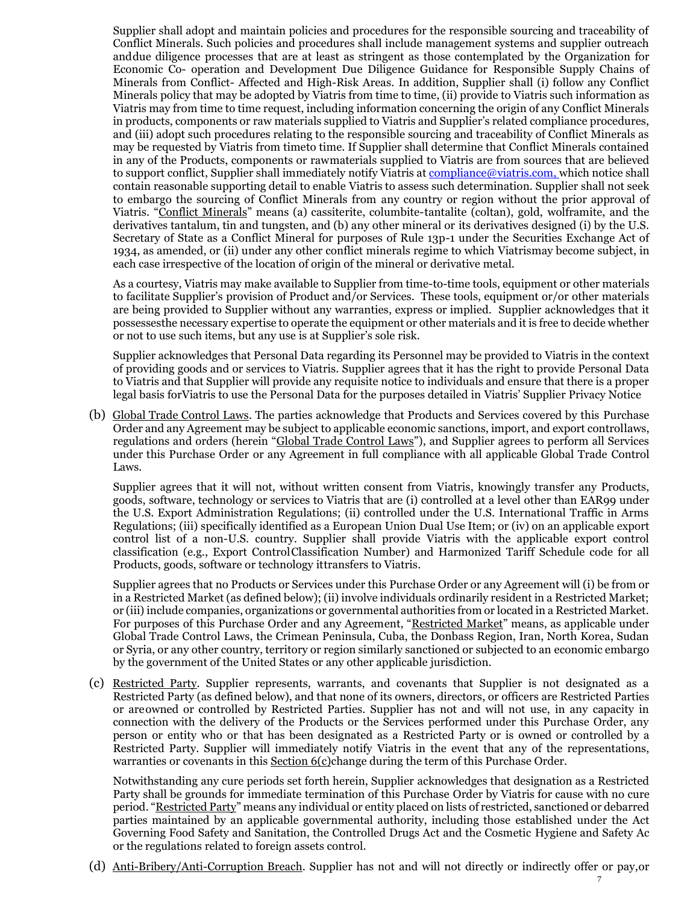Supplier shall adopt and maintain policies and procedures for the responsible sourcing and traceability of Conflict Minerals. Such policies and procedures shall include management systems and supplier outreach anddue diligence processes that are at least as stringent as those contemplated by the Organization for Economic Co- operation and Development Due Diligence Guidance for Responsible Supply Chains of Minerals from Conflict- Affected and High-Risk Areas. In addition, Supplier shall (i) follow any Conflict Minerals policy that may be adopted by Viatris from time to time, (ii) provide to Viatris such information as Viatris may from time to time request, including information concerning the origin of any Conflict Minerals in products, components or raw materials supplied to Viatris and Supplier's related compliance procedures, and (iii) adopt such procedures relating to the responsible sourcing and traceability of Conflict Minerals as may be requested by Viatris from timeto time. If Supplier shall determine that Conflict Minerals contained in any of the Products, components or rawmaterials supplied to Viatris are from sources that are believed to support conflict, Supplier shall immediately notify Viatris at [compliance@viatris.com, w](mailto:compliance@viatris.com,)hich notice shall contain reasonable supporting detail to enable Viatris to assess such determination. Supplier shall not seek to embargo the sourcing of Conflict Minerals from any country or region without the prior approval of Viatris. "Conflict Minerals" means (a) cassiterite, columbite-tantalite (coltan), gold, wolframite, and the derivatives tantalum, tin and tungsten, and (b) any other mineral or its derivatives designed (i) by the U.S. Secretary of State as a Conflict Mineral for purposes of Rule 13p-1 under the Securities Exchange Act of 1934, as amended, or (ii) under any other conflict minerals regime to which Viatrismay become subject, in each case irrespective of the location of origin of the mineral or derivative metal.

As a courtesy, Viatris may make available to Supplier from time-to-time tools, equipment or other materials to facilitate Supplier's provision of Product and/or Services. These tools, equipment or/or other materials are being provided to Supplier without any warranties, express or implied. Supplier acknowledges that it possessesthe necessary expertise to operate the equipment or other materials and it is free to decide whether or not to use such items, but any use is at Supplier's sole risk.

Supplier acknowledges that Personal Data regarding its Personnel may be provided to Viatris in the context of providing goods and or services to Viatris. Supplier agrees that it has the right to provide Personal Data to Viatris and that Supplier will provide any requisite notice to individuals and ensure that there is a proper legal basis forViatris to use the Personal Data for the purposes detailed in Viatris' Supplier Privacy Notice

(b) Global Trade Control Laws. The parties acknowledge that Products and Services covered by this Purchase Order and any Agreement may be subject to applicable economic sanctions, import, and export controllaws, regulations and orders (herein "Global Trade Control Laws"), and Supplier agrees to perform all Services under this Purchase Order or any Agreement in full compliance with all applicable Global Trade Control Laws.

Supplier agrees that it will not, without written consent from Viatris, knowingly transfer any Products, goods, software, technology or services to Viatris that are (i) controlled at a level other than EAR99 under the U.S. Export Administration Regulations; (ii) controlled under the U.S. International Traffic in Arms Regulations; (iii) specifically identified as a European Union Dual Use Item; or (iv) on an applicable export control list of a non-U.S. country. Supplier shall provide Viatris with the applicable export control classification (e.g., Export ControlClassification Number) and Harmonized Tariff Schedule code for all Products, goods, software or technology ittransfers to Viatris.

Supplier agrees that no Products or Services under this Purchase Order or any Agreement will (i) be from or in a Restricted Market (as defined below); (ii) involve individuals ordinarily resident in a Restricted Market; or (iii) include companies, organizations or governmental authorities from or located in a Restricted Market. For purposes of this Purchase Order and any Agreement, "Restricted Market" means, as applicable under Global Trade Control Laws, the Crimean Peninsula, Cuba, the Donbass Region, Iran, North Korea, Sudan or Syria, or any other country, territory or region similarly sanctioned or subjected to an economic embargo by the government of the United States or any other applicable jurisdiction.

(c) Restricted Party. Supplier represents, warrants, and covenants that Supplier is not designated as a Restricted Party (as defined below), and that none of its owners, directors, or officers are Restricted Parties or areowned or controlled by Restricted Parties. Supplier has not and will not use, in any capacity in connection with the delivery of the Products or the Services performed under this Purchase Order, any person or entity who or that has been designated as a Restricted Party or is owned or controlled by a Restricted Party. Supplier will immediately notify Viatris in the event that any of the representations, warranties or covenants in this Section 6(c)change during the term of this Purchase Order.

Notwithstanding any cure periods set forth herein, Supplier acknowledges that designation as a Restricted Party shall be grounds for immediate termination of this Purchase Order by Viatris for cause with no cure period. "Restricted Party" means any individual or entity placed on lists of restricted, sanctioned or debarred parties maintained by an applicable governmental authority, including those established under the Act Governing Food Safety and Sanitation, the Controlled Drugs Act and the Cosmetic Hygiene and Safety Ac or the regulations related to foreign assets control.

(d) Anti-Bribery/Anti-Corruption Breach. Supplier has not and will not directly or indirectly offer or pay,or

7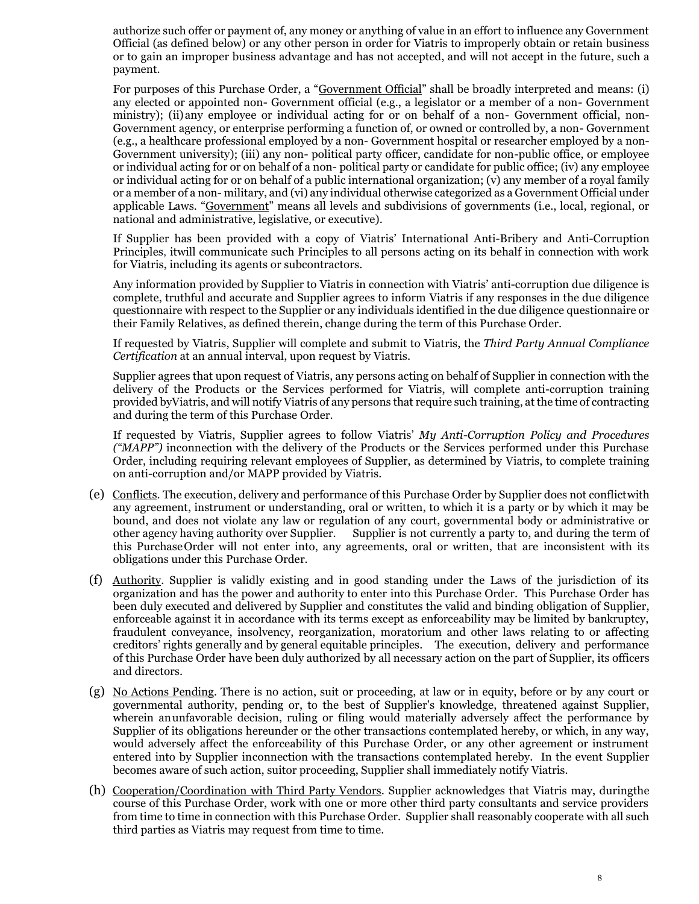authorize such offer or payment of, any money or anything of value in an effort to influence any Government Official (as defined below) or any other person in order for Viatris to improperly obtain or retain business or to gain an improper business advantage and has not accepted, and will not accept in the future, such a payment.

For purposes of this Purchase Order, a "Government Official" shall be broadly interpreted and means: (i) any elected or appointed non- Government official (e.g., a legislator or a member of a non- Government ministry); (ii)any employee or individual acting for or on behalf of a non- Government official, non-Government agency, or enterprise performing a function of, or owned or controlled by, a non- Government (e.g., a healthcare professional employed by a non- Government hospital or researcher employed by a non-Government university); (iii) any non- political party officer, candidate for non-public office, or employee or individual acting for or on behalf of a non- political party or candidate for public office; (iv) any employee or individual acting for or on behalf of a public international organization; (v) any member of a royal family or a member of a non- military, and (vi) any individual otherwise categorized as a Government Official under applicable Laws. "Government" means all levels and subdivisions of governments (i.e., local, regional, or national and administrative, legislative, or executive).

If Supplier has been provided with a copy of Viatris' International Anti-Bribery and Anti-Corruption Principles, itwill communicate such Principles to all persons acting on its behalf in connection with work for Viatris, including its agents or subcontractors.

Any information provided by Supplier to Viatris in connection with Viatris' anti-corruption due diligence is complete, truthful and accurate and Supplier agrees to inform Viatris if any responses in the due diligence questionnaire with respect to the Supplier or any individuals identified in the due diligence questionnaire or their Family Relatives, as defined therein, change during the term of this Purchase Order.

If requested by Viatris, Supplier will complete and submit to Viatris, the *Third Party Annual Compliance Certification* at an annual interval, upon request by Viatris.

Supplier agrees that upon request of Viatris, any persons acting on behalf of Supplier in connection with the delivery of the Products or the Services performed for Viatris, will complete anti-corruption training provided byViatris, and will notify Viatris of any persons that require such training, at the time of contracting and during the term of this Purchase Order.

If requested by Viatris, Supplier agrees to follow Viatris' *My Anti-Corruption Policy and Procedures ("MAPP")* inconnection with the delivery of the Products or the Services performed under this Purchase Order, including requiring relevant employees of Supplier, as determined by Viatris, to complete training on anti-corruption and/or MAPP provided by Viatris.

- (e) Conflicts. The execution, delivery and performance of this Purchase Order by Supplier does not conflictwith any agreement, instrument or understanding, oral or written, to which it is a party or by which it may be bound, and does not violate any law or regulation of any court, governmental body or administrative or other agency having authority over Supplier. Supplier is not currently a party to, and during the term of this PurchaseOrder will not enter into, any agreements, oral or written, that are inconsistent with its obligations under this Purchase Order.
- (f) Authority. Supplier is validly existing and in good standing under the Laws of the jurisdiction of its organization and has the power and authority to enter into this Purchase Order. This Purchase Order has been duly executed and delivered by Supplier and constitutes the valid and binding obligation of Supplier, enforceable against it in accordance with its terms except as enforceability may be limited by bankruptcy, fraudulent conveyance, insolvency, reorganization, moratorium and other laws relating to or affecting creditors' rights generally and by general equitable principles. The execution, delivery and performance of this Purchase Order have been duly authorized by all necessary action on the part of Supplier, its officers and directors.
- (g) No Actions Pending. There is no action, suit or proceeding, at law or in equity, before or by any court or governmental authority, pending or, to the best of Supplier's knowledge, threatened against Supplier, wherein anunfavorable decision, ruling or filing would materially adversely affect the performance by Supplier of its obligations hereunder or the other transactions contemplated hereby, or which, in any way, would adversely affect the enforceability of this Purchase Order, or any other agreement or instrument entered into by Supplier inconnection with the transactions contemplated hereby. In the event Supplier becomes aware of such action, suitor proceeding, Supplier shall immediately notify Viatris.
- (h) Cooperation/Coordination with Third Party Vendors. Supplier acknowledges that Viatris may, duringthe course of this Purchase Order, work with one or more other third party consultants and service providers from time to time in connection with this Purchase Order. Supplier shall reasonably cooperate with all such third parties as Viatris may request from time to time.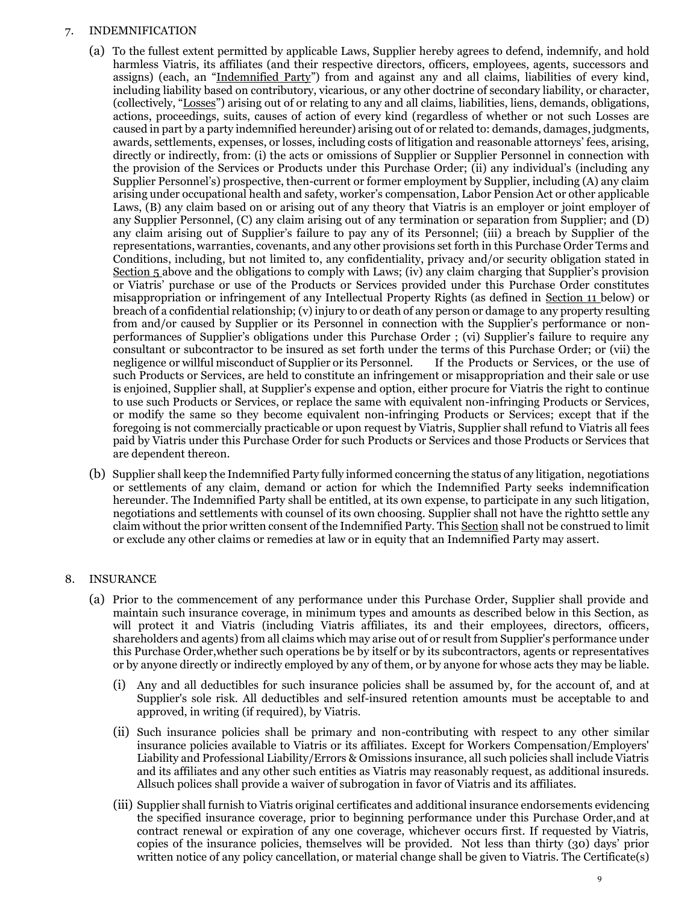### 7. INDEMNIFICATION

- (a) To the fullest extent permitted by applicable Laws, Supplier hereby agrees to defend, indemnify, and hold harmless Viatris, its affiliates (and their respective directors, officers, employees, agents, successors and assigns) (each, an "Indemnified Party") from and against any and all claims, liabilities of every kind, including liability based on contributory, vicarious, or any other doctrine of secondary liability, or character, (collectively, "Losses") arising out of or relating to any and all claims, liabilities, liens, demands, obligations, actions, proceedings, suits, causes of action of every kind (regardless of whether or not such Losses are caused in part by a party indemnified hereunder) arising out of or related to: demands, damages, judgments, awards, settlements, expenses, or losses, including costs of litigation and reasonable attorneys' fees, arising, directly or indirectly, from: (i) the acts or omissions of Supplier or Supplier Personnel in connection with the provision of the Services or Products under this Purchase Order; (ii) any individual's (including any Supplier Personnel's) prospective, then-current or former employment by Supplier, including (A) any claim arising under occupational health and safety, worker's compensation, Labor Pension Act or other applicable Laws, (B) any claim based on or arising out of any theory that Viatris is an employer or joint employer of any Supplier Personnel, (C) any claim arising out of any termination or separation from Supplier; and (D) any claim arising out of Supplier's failure to pay any of its Personnel; (iii) a breach by Supplier of the representations, warranties, covenants, and any other provisions set forth in this Purchase Order Terms and Conditions, including, but not limited to, any confidentiality, privacy and/or security obligation stated in Section 5 above and the obligations to comply with Laws; (iv) any claim charging that Supplier's provision or Viatris' purchase or use of the Products or Services provided under this Purchase Order constitutes misappropriation or infringement of any Intellectual Property Rights (as defined in Section 11 below) or breach of a confidential relationship; (v) injury to or death of any person or damage to any property resulting from and/or caused by Supplier or its Personnel in connection with the Supplier's performance or nonperformances of Supplier's obligations under this Purchase Order ; (vi) Supplier's failure to require any consultant or subcontractor to be insured as set forth under the terms of this Purchase Order; or (vii) the negligence or willful misconduct of Supplier or its Personnel. If the Products or Services, or the use of such Products or Services, are held to constitute an infringement or misappropriation and their sale or use is enjoined, Supplier shall, at Supplier's expense and option, either procure for Viatris the right to continue to use such Products or Services, or replace the same with equivalent non-infringing Products or Services, or modify the same so they become equivalent non-infringing Products or Services; except that if the foregoing is not commercially practicable or upon request by Viatris, Supplier shall refund to Viatris all fees paid by Viatris under this Purchase Order for such Products or Services and those Products or Services that are dependent thereon.
- (b) Supplier shall keep the Indemnified Party fully informed concerning the status of any litigation, negotiations or settlements of any claim, demand or action for which the Indemnified Party seeks indemnification hereunder. The Indemnified Party shall be entitled, at its own expense, to participate in any such litigation, negotiations and settlements with counsel of its own choosing. Supplier shall not have the rightto settle any claim without the prior written consent of the Indemnified Party. This Section shall not be construed to limit or exclude any other claims or remedies at law or in equity that an Indemnified Party may assert.

## 8. INSURANCE

- (a) Prior to the commencement of any performance under this Purchase Order, Supplier shall provide and maintain such insurance coverage, in minimum types and amounts as described below in this Section, as will protect it and Viatris (including Viatris affiliates, its and their employees, directors, officers, shareholders and agents) from all claims which may arise out of or result from Supplier's performance under this Purchase Order,whether such operations be by itself or by its subcontractors, agents or representatives or by anyone directly or indirectly employed by any of them, or by anyone for whose acts they may be liable.
	- (i) Any and all deductibles for such insurance policies shall be assumed by, for the account of, and at Supplier's sole risk. All deductibles and self-insured retention amounts must be acceptable to and approved, in writing (if required), by Viatris.
	- (ii) Such insurance policies shall be primary and non-contributing with respect to any other similar insurance policies available to Viatris or its affiliates. Except for Workers Compensation/Employers' Liability and Professional Liability/Errors & Omissions insurance, all such policies shall include Viatris and its affiliates and any other such entities as Viatris may reasonably request, as additional insureds. Allsuch polices shall provide a waiver of subrogation in favor of Viatris and its affiliates.
	- (iii) Supplier shall furnish to Viatris original certificates and additional insurance endorsements evidencing the specified insurance coverage, prior to beginning performance under this Purchase Order,and at contract renewal or expiration of any one coverage, whichever occurs first. If requested by Viatris, copies of the insurance policies, themselves will be provided. Not less than thirty (30) days' prior written notice of any policy cancellation, or material change shall be given to Viatris. The Certificate(s)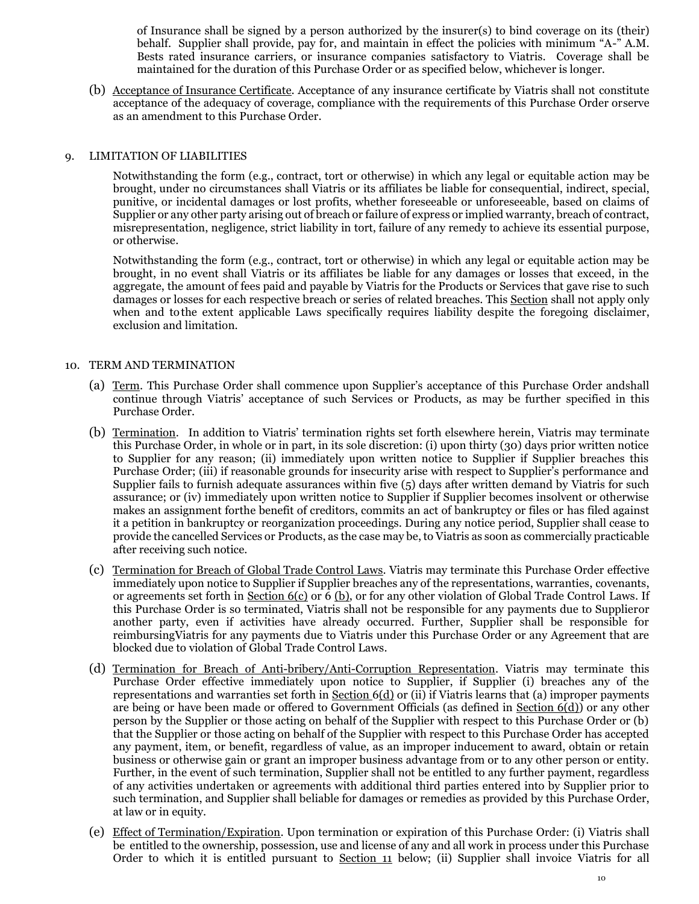of Insurance shall be signed by a person authorized by the insurer(s) to bind coverage on its (their) behalf. Supplier shall provide, pay for, and maintain in effect the policies with minimum "A-" A.M. Bests rated insurance carriers, or insurance companies satisfactory to Viatris. Coverage shall be maintained for the duration of this Purchase Order or as specified below, whichever is longer.

(b) Acceptance of Insurance Certificate. Acceptance of any insurance certificate by Viatris shall not constitute acceptance of the adequacy of coverage, compliance with the requirements of this Purchase Order orserve as an amendment to this Purchase Order.

### 9. LIMITATION OF LIABILITIES

Notwithstanding the form (e.g., contract, tort or otherwise) in which any legal or equitable action may be brought, under no circumstances shall Viatris or its affiliates be liable for consequential, indirect, special, punitive, or incidental damages or lost profits, whether foreseeable or unforeseeable, based on claims of Supplier or any other party arising out of breach or failure of express or implied warranty, breach of contract, misrepresentation, negligence, strict liability in tort, failure of any remedy to achieve its essential purpose, or otherwise.

Notwithstanding the form (e.g., contract, tort or otherwise) in which any legal or equitable action may be brought, in no event shall Viatris or its affiliates be liable for any damages or losses that exceed, in the aggregate, the amount of fees paid and payable by Viatris for the Products or Services that gave rise to such damages or losses for each respective breach or series of related breaches. This Section shall not apply only when and tothe extent applicable Laws specifically requires liability despite the foregoing disclaimer, exclusion and limitation.

### 10. TERM AND TERMINATION

- (a) Term. This Purchase Order shall commence upon Supplier's acceptance of this Purchase Order andshall continue through Viatris' acceptance of such Services or Products, as may be further specified in this Purchase Order.
- (b) Termination. In addition to Viatris' termination rights set forth elsewhere herein, Viatris may terminate this Purchase Order, in whole or in part, in its sole discretion: (i) upon thirty (30) days prior written notice to Supplier for any reason; (ii) immediately upon written notice to Supplier if Supplier breaches this Purchase Order; (iii) if reasonable grounds for insecurity arise with respect to Supplier's performance and Supplier fails to furnish adequate assurances within five (5) days after written demand by Viatris for such assurance; or (iv) immediately upon written notice to Supplier if Supplier becomes insolvent or otherwise makes an assignment forthe benefit of creditors, commits an act of bankruptcy or files or has filed against it a petition in bankruptcy or reorganization proceedings. During any notice period, Supplier shall cease to provide the cancelled Services or Products, as the case may be, to Viatris as soon as commercially practicable after receiving such notice.
- (c) Termination for Breach of Global Trade Control Laws. Viatris may terminate this Purchase Order effective immediately upon notice to Supplier if Supplier breaches any of the representations, warranties, covenants, or agreements set forth in Section 6(c) or 6 (b), or for any other violation of Global Trade Control Laws. If this Purchase Order is so terminated, Viatris shall not be responsible for any payments due to Supplieror another party, even if activities have already occurred. Further, Supplier shall be responsible for reimbursingViatris for any payments due to Viatris under this Purchase Order or any Agreement that are blocked due to violation of Global Trade Control Laws.
- (d) Termination for Breach of Anti-bribery/Anti-Corruption Representation. Viatris may terminate this Purchase Order effective immediately upon notice to Supplier, if Supplier (i) breaches any of the representations and warranties set forth in Section 6(d) or (ii) if Viatris learns that (a) improper payments are being or have been made or offered to Government Officials (as defined in Section 6(d)) or any other person by the Supplier or those acting on behalf of the Supplier with respect to this Purchase Order or (b) that the Supplier or those acting on behalf of the Supplier with respect to this Purchase Order has accepted any payment, item, or benefit, regardless of value, as an improper inducement to award, obtain or retain business or otherwise gain or grant an improper business advantage from or to any other person or entity. Further, in the event of such termination, Supplier shall not be entitled to any further payment, regardless of any activities undertaken or agreements with additional third parties entered into by Supplier prior to such termination, and Supplier shall beliable for damages or remedies as provided by this Purchase Order, at law or in equity.
- (e) Effect of Termination/Expiration. Upon termination or expiration of this Purchase Order: (i) Viatris shall be entitled to the ownership, possession, use and license of any and all work in process under this Purchase Order to which it is entitled pursuant to Section 11 below; (ii) Supplier shall invoice Viatris for all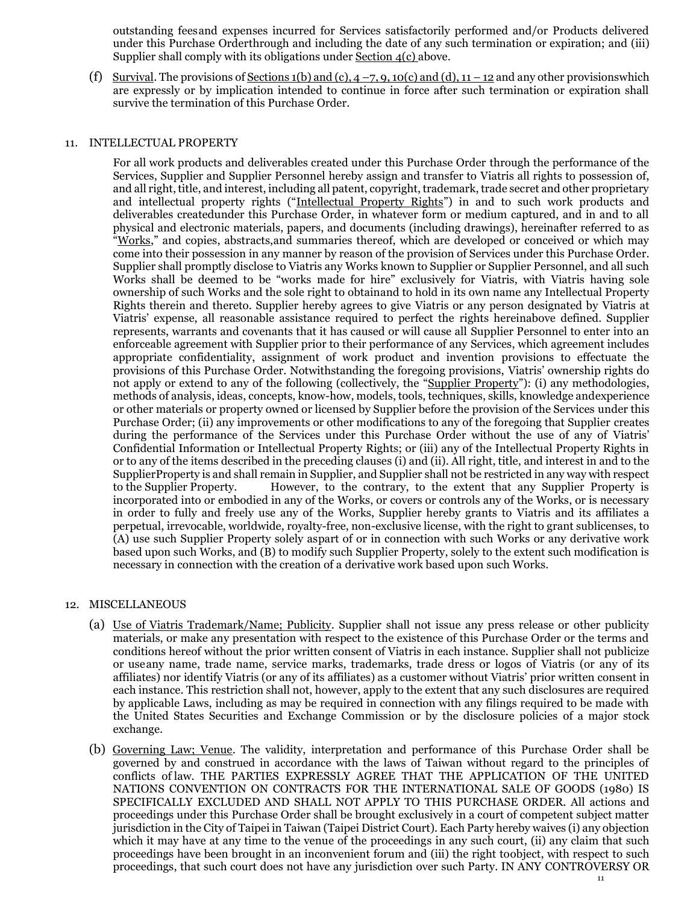outstanding feesand expenses incurred for Services satisfactorily performed and/or Products delivered under this Purchase Orderthrough and including the date of any such termination or expiration; and (iii) Supplier shall comply with its obligations under Section 4(c) above.

(f) Survival. The provisions of Sections 1(b) and (c),  $4 - 7$ , 9, 10(c) and (d),  $11 - 12$  and any other provisions which are expressly or by implication intended to continue in force after such termination or expiration shall survive the termination of this Purchase Order.

### 11. INTELLECTUAL PROPERTY

For all work products and deliverables created under this Purchase Order through the performance of the Services, Supplier and Supplier Personnel hereby assign and transfer to Viatris all rights to possession of, and all right, title, and interest, including all patent, copyright, trademark, trade secret and other proprietary and intellectual property rights ("Intellectual Property Rights") in and to such work products and deliverables createdunder this Purchase Order, in whatever form or medium captured, and in and to all physical and electronic materials, papers, and documents (including drawings), hereinafter referred to as "Works," and copies, abstracts,and summaries thereof, which are developed or conceived or which may come into their possession in any manner by reason of the provision of Services under this Purchase Order. Supplier shall promptly disclose to Viatris any Works known to Supplier or Supplier Personnel, and all such Works shall be deemed to be "works made for hire" exclusively for Viatris, with Viatris having sole ownership of such Works and the sole right to obtainand to hold in its own name any Intellectual Property Rights therein and thereto. Supplier hereby agrees to give Viatris or any person designated by Viatris at Viatris' expense, all reasonable assistance required to perfect the rights hereinabove defined. Supplier represents, warrants and covenants that it has caused or will cause all Supplier Personnel to enter into an enforceable agreement with Supplier prior to their performance of any Services, which agreement includes appropriate confidentiality, assignment of work product and invention provisions to effectuate the provisions of this Purchase Order. Notwithstanding the foregoing provisions, Viatris' ownership rights do not apply or extend to any of the following (collectively, the "Supplier Property"): (i) any methodologies, methods of analysis, ideas, concepts, know-how, models, tools, techniques, skills, knowledge andexperience or other materials or property owned or licensed by Supplier before the provision of the Services under this Purchase Order; (ii) any improvements or other modifications to any of the foregoing that Supplier creates during the performance of the Services under this Purchase Order without the use of any of Viatris' Confidential Information or Intellectual Property Rights; or (iii) any of the Intellectual Property Rights in or to any of the items described in the preceding clauses (i) and (ii). All right, title, and interest in and to the SupplierProperty is and shall remain in Supplier, and Supplier shall not be restricted in any way with respect to the Supplier Property. However, to the contrary, to the extent that any Supplier Property is incorporated into or embodied in any of the Works, or covers or controls any of the Works, or is necessary in order to fully and freely use any of the Works, Supplier hereby grants to Viatris and its affiliates a perpetual, irrevocable, worldwide, royalty-free, non-exclusive license, with the right to grant sublicenses, to (A) use such Supplier Property solely aspart of or in connection with such Works or any derivative work based upon such Works, and (B) to modify such Supplier Property, solely to the extent such modification is necessary in connection with the creation of a derivative work based upon such Works.

### 12. MISCELLANEOUS

- (a) Use of Viatris Trademark/Name; Publicity. Supplier shall not issue any press release or other publicity materials, or make any presentation with respect to the existence of this Purchase Order or the terms and conditions hereof without the prior written consent of Viatris in each instance. Supplier shall not publicize or useany name, trade name, service marks, trademarks, trade dress or logos of Viatris (or any of its affiliates) nor identify Viatris (or any of its affiliates) as a customer without Viatris' prior written consent in each instance. This restriction shall not, however, apply to the extent that any such disclosures are required by applicable Laws, including as may be required in connection with any filings required to be made with the United States Securities and Exchange Commission or by the disclosure policies of a major stock exchange.
- (b) Governing Law; Venue. The validity, interpretation and performance of this Purchase Order shall be governed by and construed in accordance with the laws of Taiwan without regard to the principles of conflicts of law. THE PARTIES EXPRESSLY AGREE THAT THE APPLICATION OF THE UNITED NATIONS CONVENTION ON CONTRACTS FOR THE INTERNATIONAL SALE OF GOODS (1980) IS SPECIFICALLY EXCLUDED AND SHALL NOT APPLY TO THIS PURCHASE ORDER. All actions and proceedings under this Purchase Order shall be brought exclusively in a court of competent subject matter jurisdiction in the City of Taipei in Taiwan (Taipei District Court). Each Party hereby waives (i) any objection which it may have at any time to the venue of the proceedings in any such court, (ii) any claim that such proceedings have been brought in an inconvenient forum and (iii) the right toobject, with respect to such proceedings, that such court does not have any jurisdiction over such Party. IN ANY CONTROVERSY OR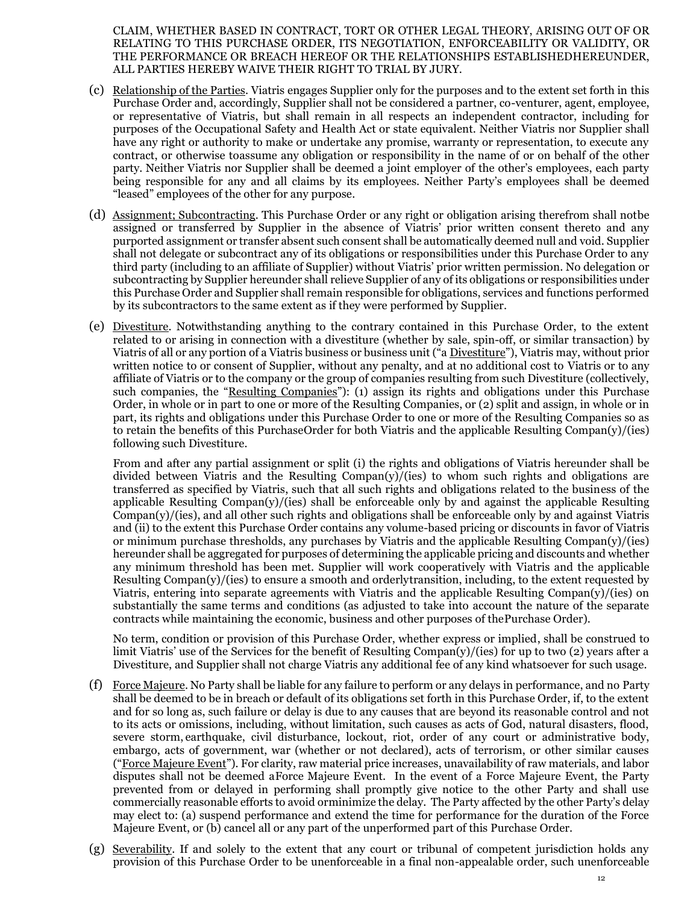CLAIM, WHETHER BASED IN CONTRACT, TORT OR OTHER LEGAL THEORY, ARISING OUT OF OR RELATING TO THIS PURCHASE ORDER, ITS NEGOTIATION, ENFORCEABILITY OR VALIDITY, OR THE PERFORMANCE OR BREACH HEREOF OR THE RELATIONSHIPS ESTABLISHEDHEREUNDER, ALL PARTIES HEREBY WAIVE THEIR RIGHT TO TRIAL BY JURY.

- (c) Relationship of the Parties. Viatris engages Supplier only for the purposes and to the extent set forth in this Purchase Order and, accordingly, Supplier shall not be considered a partner, co-venturer, agent, employee, or representative of Viatris, but shall remain in all respects an independent contractor, including for purposes of the Occupational Safety and Health Act or state equivalent. Neither Viatris nor Supplier shall have any right or authority to make or undertake any promise, warranty or representation, to execute any contract, or otherwise toassume any obligation or responsibility in the name of or on behalf of the other party. Neither Viatris nor Supplier shall be deemed a joint employer of the other's employees, each party being responsible for any and all claims by its employees. Neither Party's employees shall be deemed "leased" employees of the other for any purpose.
- (d) Assignment; Subcontracting. This Purchase Order or any right or obligation arising therefrom shall notbe assigned or transferred by Supplier in the absence of Viatris' prior written consent thereto and any purported assignment or transfer absent such consent shall be automatically deemed null and void. Supplier shall not delegate or subcontract any of its obligations or responsibilities under this Purchase Order to any third party (including to an affiliate of Supplier) without Viatris' prior written permission. No delegation or subcontracting by Supplier hereunder shall relieve Supplier of any of its obligations or responsibilities under this Purchase Order and Supplier shall remain responsible for obligations, services and functions performed by its subcontractors to the same extent as if they were performed by Supplier.
- (e) Divestiture. Notwithstanding anything to the contrary contained in this Purchase Order, to the extent related to or arising in connection with a divestiture (whether by sale, spin-off, or similar transaction) by Viatris of all or any portion of a Viatris business or business unit ("a Divestiture"), Viatris may, without prior written notice to or consent of Supplier, without any penalty, and at no additional cost to Viatris or to any affiliate of Viatris or to the company or the group of companies resulting from such Divestiture (collectively, such companies, the "Resulting Companies"): (1) assign its rights and obligations under this Purchase Order, in whole or in part to one or more of the Resulting Companies, or (2) split and assign, in whole or in part, its rights and obligations under this Purchase Order to one or more of the Resulting Companies so as to retain the benefits of this PurchaseOrder for both Viatris and the applicable Resulting Compan(y)/(ies) following such Divestiture.

From and after any partial assignment or split (i) the rights and obligations of Viatris hereunder shall be divided between Viatris and the Resulting Compan(y)/(ies) to whom such rights and obligations are transferred as specified by Viatris, such that all such rights and obligations related to the business of the applicable Resulting Compan(y)/(ies) shall be enforceable only by and against the applicable Resulting Compan(y)/(ies), and all other such rights and obligations shall be enforceable only by and against Viatris and (ii) to the extent this Purchase Order contains any volume-based pricing or discounts in favor of Viatris or minimum purchase thresholds, any purchases by Viatris and the applicable Resulting Compan(y)/(ies) hereunder shall be aggregated for purposes of determining the applicable pricing and discounts and whether any minimum threshold has been met. Supplier will work cooperatively with Viatris and the applicable Resulting  $Compan(y)/(ies)$  to ensure a smooth and orderly transition, including, to the extent requested by Viatris, entering into separate agreements with Viatris and the applicable Resulting Compan(y)/(ies) on substantially the same terms and conditions (as adjusted to take into account the nature of the separate contracts while maintaining the economic, business and other purposes of thePurchase Order).

No term, condition or provision of this Purchase Order, whether express or implied, shall be construed to limit Viatris' use of the Services for the benefit of Resulting Compan(y)/(ies) for up to two (2) years after a Divestiture, and Supplier shall not charge Viatris any additional fee of any kind whatsoever for such usage.

- (f) Force Majeure. No Party shall be liable for any failure to perform or any delays in performance, and no Party shall be deemed to be in breach or default of its obligations set forth in this Purchase Order, if, to the extent and for so long as, such failure or delay is due to any causes that are beyond its reasonable control and not to its acts or omissions, including, without limitation, such causes as acts of God, natural disasters, flood, severe storm, earthquake, civil disturbance, lockout, riot, order of any court or administrative body, embargo, acts of government, war (whether or not declared), acts of terrorism, or other similar causes ("Force Majeure Event"). For clarity, raw material price increases, unavailability of raw materials, and labor disputes shall not be deemed aForce Majeure Event. In the event of a Force Majeure Event, the Party prevented from or delayed in performing shall promptly give notice to the other Party and shall use commercially reasonable efforts to avoid orminimize the delay. The Party affected by the other Party's delay may elect to: (a) suspend performance and extend the time for performance for the duration of the Force Majeure Event, or (b) cancel all or any part of the unperformed part of this Purchase Order.
- (g) Severability. If and solely to the extent that any court or tribunal of competent jurisdiction holds any provision of this Purchase Order to be unenforceable in a final non-appealable order, such unenforceable